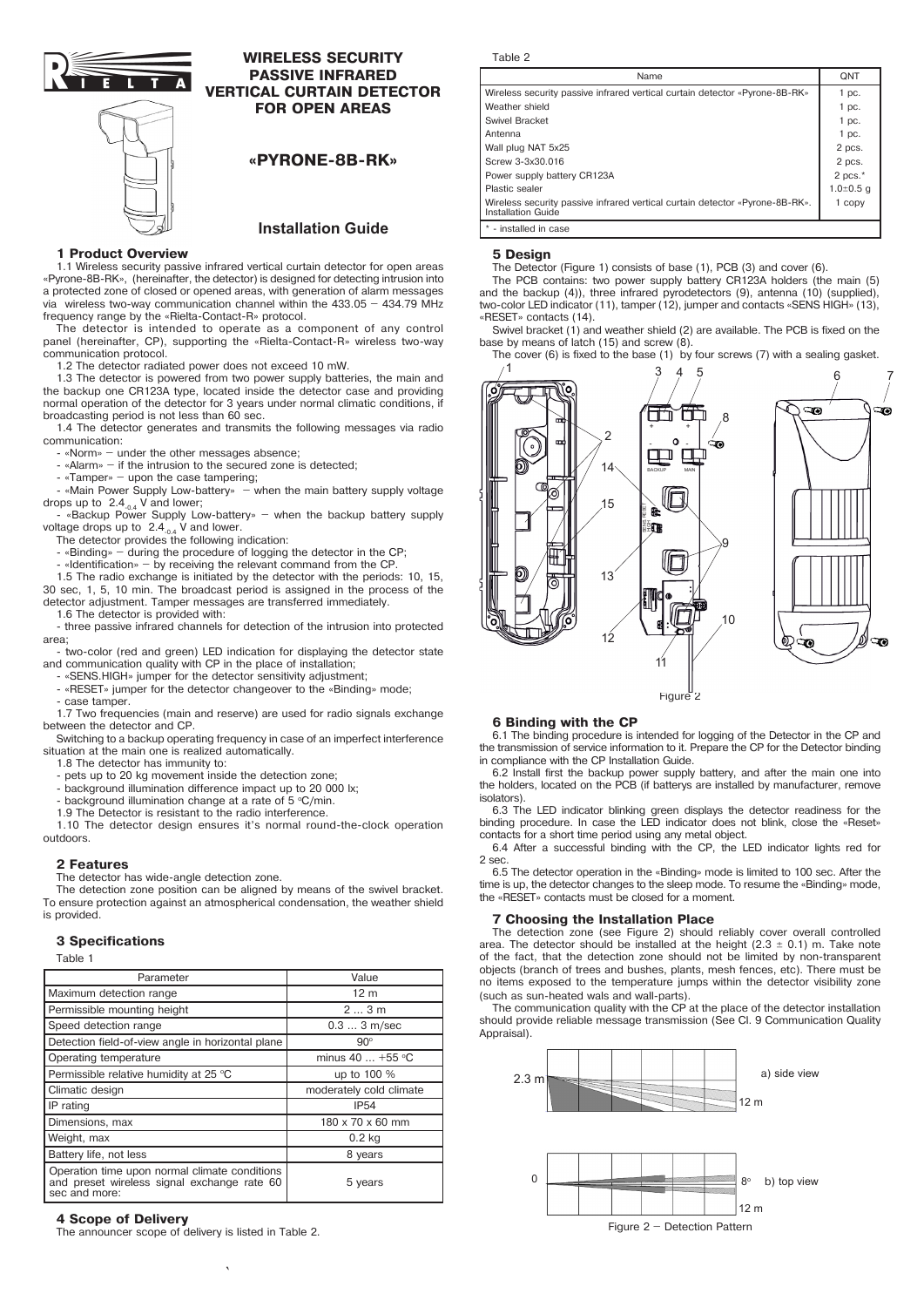

# **WIRELESS SECURITY PASSIVE INFRARED VERTICAL CURTAIN DETECTOR**

**FOR OPEN AREAS**

## **«PYRONE-8B-RK»**

## **Installation Guide**

#### **1 Product Overview**

1.1 Wireless security passive infrared vertical curtain detector for open areas «Pyrone-8B-RK», (hereinafter, the detector) is designed for detecting intrusion into a protected zone of closed or opened areas, with generation of alarm messages via wireless two-way communication channel within the 433.05 – 434.79 MHz frequency range by the «Rielta-Contact-R» protocol.

The detector is intended to operate as a component of any control panel (hereinafter, CP), supporting the «Rielta-Contact-R» wireless two-way communication protocol.

1.2 The detector radiated power does not exceed 10 mW.

1.3 The detector is powered from two power supply batteries, the main and the backup one СR123A type, located inside the detector case and providing normal operation of the detector for 3 years under normal climatic conditions, if broadcasting period is not less than 60 sec.

1.4 The detector generates and transmits the following messages via radio communication:

- «Norm» – under the other messages absence;

- «Alarm» – if the intrusion to the secured zone is detected;

- «Tamper» – upon the case tampering;

- «Main Power Supply Low-battery» – when the main battery supply voltage drops up to 2.4<sub>-0.4</sub> V and lower;<br>Fackup Power Supply Low-battery» – when the backup battery supply

voltage drops up to  $2.4_{0.4}$  V and lower.<br>The detector provides the following indication:

- «Binding» – during the procedure of logging the detector in the CP;

«Identification» – by receiving the relevant command from the CP

1.5 The radio exchange is initiated by the detector with the periods: 10, 15, 30 sec, 1, 5, 10 min. The broadcast period is assigned in the process of the detector adjustment. Tamper messages are transferred immediately.

1.6 The detector is provided with:

- three passive infrared channels for detection of the intrusion into protected area;

- two-color (red and green) LED indication for displaying the detector state and communication quality with CP in the place of installation;

«SENS HIGH» jumper for the detector sensitivity adjustment;

«RESET» jumper for the detector changeover to the «Binding» mode;

case tamper.

1.7 Two frequencies (main and reserve) are used for radio signals exchange between the detector and CP.

Switching to a backup operating frequency in case of an imperfect interference situation at the main one is realized automatically. 1.8 The detector has immunity to:

- pets up to 20 kg movement inside the detection zone;

- background illumination difference impact up to 20 000 lx;

- background illumination change at a rate of 5 °C/min.

1.9 The Detector is resistant to the radio interference.

1.10 The detector design ensures it's normal round-the-clock operation outdoors.

**2 Features**

The detector has wide-angle detection zone.

The detection zone position can be aligned by means of the swivel bracket. To ensure protection against an atmospherical condensation, the weather shield is provided.

### **3 Specifications**

Table 1

| Parameter                                         | Value                   |
|---------------------------------------------------|-------------------------|
| Maximum detection range                           | 12 <sub>m</sub>         |
| Permissible mounting height                       | 23m                     |
| Speed detection range                             | $0.33$ m/sec            |
| Detection field-of-view angle in horizontal plane | $90^\circ$              |
| Operating temperature                             | minus 40  +55 °C        |
| Permissible relative humidity at 25 °C            | up to 100 %             |
| Climatic design                                   | moderately cold climate |
| IP rating                                         | <b>IP54</b>             |
| Dimensions, max                                   | 180 x 70 x 60 mm        |
|                                                   | $0.2$ kg                |
| Weight, max                                       |                         |
| Battery life, not less                            | 8 years                 |

#### **4 Scope of Delivery**

The announcer scope of delivery is listed in Table 2.

`

| Table |  |
|-------|--|
|-------|--|

| Name                                                                                               | QNT             |
|----------------------------------------------------------------------------------------------------|-----------------|
| Wireless security passive infrared vertical curtain detector «Pyrone-8B-RK»                        | 1 pc.           |
| Weather shield                                                                                     | $1$ pc.         |
| Swivel Bracket                                                                                     | $1$ pc.         |
| Antenna                                                                                            | $1$ pc.         |
| Wall plug NAT 5x25                                                                                 | 2 pcs.          |
| Screw 3-3x30.016                                                                                   | 2 pcs.          |
| Power supply battery CR123A                                                                        | 2 pcs. $*$      |
| Plastic sealer                                                                                     | $1.0 \pm 0.5$ a |
| Wireless security passive infrared vertical curtain detector «Pyrone-8B-RK».<br>Installation Guide | 1 copy          |
| * - installed in case                                                                              |                 |

### **5 Design**

The Detector (Figure 1) consists of base (1), PCB (3) and cover (6). The PCB contains: two power supply battery CR123A holders (the main (5) and the backup (4)), three infrared pyrodetectors (9), antenna (10) (supplied), two-color LED indicator (11), tamper (12), jumper and contacts «SENS HIGH» (13), «RESET» contacts (14).

Swivel bracket (1) and weather shield (2) are available. The PCB is fixed on the base by means of latch (15) and screw (8).

The cover (6) is fixed to the base (1) by four screws (7) with a sealing gasket.



### **6 Binding with the CP**

6.1 The binding procedure is intended for logging of the Detector in the CP and the transmission of service information to it. Prepare the CP for the Detector binding in compliance with the CP Installation Guide.

6.2 Install first the backup power supply battery, and after the main one into the holders, located on the PCB (if batterys are installed by manufacturer, remove isolators).

6.3 The LED indicator blinking green displays the detector readiness for the binding procedure. In case the LED indicator does not blink, close the «Reset» contacts for a short time period using any metal object.

6.4 After a successful binding with the CP, the LED indicator lights red for 2 sec.

6.5 The detector operation in the «Binding» mode is limited to 100 sec. After the time is up, the detector changes to the sleep mode. To resume the «Binding» mode, the «RESET» contacts must be closed for a moment.

#### **7 Choosing the Installation Place**

The detection zone (see Figure 2) should reliably cover overall controlled area. The detector should be installed at the height  $(2.3 \pm 0.1)$  m. Take note of the fact, that the detection zone should not be limited by non-transparent objects (branch of trees and bushes, plants, mesh fences, etc). There must be no items exposed to the temperature jumps within the detector visibility zone (such as sun-heated wals and wall-parts).

The communication quality with the CP at the place of the detector installation should provide reliable message transmission (See Cl. 9 Communication Quality Appraisal).